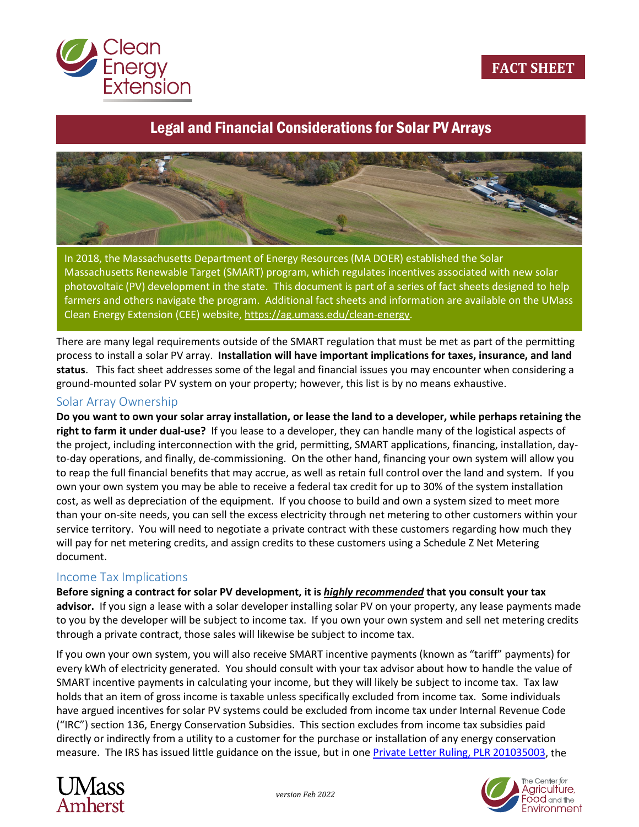

# Legal and Financial Considerations for Solar PV Arrays



In 2018, the Massachusetts Department of Energy Resources (MA DOER) established the Solar Massachusetts Renewable Target (SMART) program, which regulates incentives associated with new solar photovoltaic (PV) development in the state. This document is part of a series of fact sheets designed to help farmers and others navigate the program. Additional fact sheets and information are available on the UMass Clean Energy Extension (CEE) website, [https://ag.umass.edu/clean-energy.](https://ag.umass.edu/clean-energy)

There are many legal requirements outside of the SMART regulation that must be met as part of the permitting process to install a solar PV array. **Installation will have important implications for taxes, insurance, and land status**. This fact sheet addresses some of the legal and financial issues you may encounter when considering a ground-mounted solar PV system on your property; however, this list is by no means exhaustive.

#### Solar Array Ownership

**Do you want to own your solar array installation, or lease the land to a developer, while perhaps retaining the right to farm it under dual-use?** If you lease to a developer, they can handle many of the logistical aspects of the project, including interconnection with the grid, permitting, SMART applications, financing, installation, dayto-day operations, and finally, de-commissioning. On the other hand, financing your own system will allow you to reap the full financial benefits that may accrue, as well as retain full control over the land and system. If you own your own system you may be able to receive a federal tax credit for up to 30% of the system installation cost, as well as depreciation of the equipment. If you choose to build and own a system sized to meet more than your on-site needs, you can sell the excess electricity through net metering to other customers within your service territory. You will need to negotiate a private contract with these customers regarding how much they will pay for net metering credits, and assign credits to these customers using a Schedule Z Net Metering document.

#### Income Tax Implications

**Before signing a contract for solar PV development, it is** *highly recommended* **that you consult your tax advisor.** If you sign a lease with a solar developer installing solar PV on your property, any lease payments made to you by the developer will be subject to income tax. If you own your own system and sell net metering credits through a private contract, those sales will likewise be subject to income tax.

If you own your own system, you will also receive SMART incentive payments (known as "tariff" payments) for every kWh of electricity generated. You should consult with your tax advisor about how to handle the value of SMART incentive payments in calculating your income, but they will likely be subject to income tax. Tax law holds that an item of gross income is taxable unless specifically excluded from income tax. Some individuals have argued incentives for solar PV systems could be excluded from income tax under Internal Revenue Code ("IRC") section 136, Energy Conservation Subsidies. This section excludes from income tax subsidies paid directly or indirectly from a utility to a customer for the purchase or installation of any energy conservation measure. The IRS has issued little guidance on the issue, but in on[e Private Letter Ruling, PLR 201035003,](https://www.irs.gov/pub/irs-wd/1035003.pdf) the



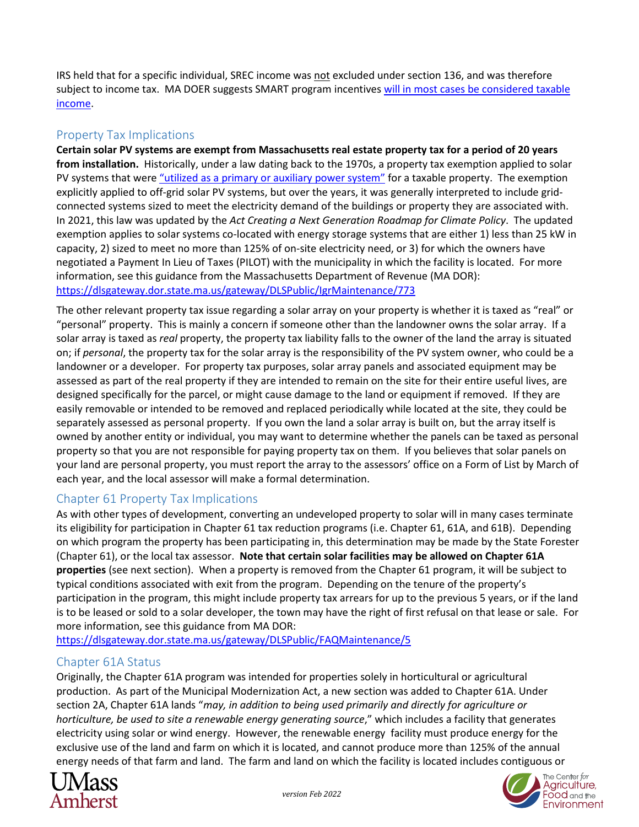IRS held that for a specific individual, SREC income was not excluded under section 136, and was therefore subject to income tax. MA DOER suggests SMART program incentives will in most cases be considered taxable [income.](https://www.mass.gov/doc/massachusetts-smart-program-municipalities-qa/download)

#### Property Tax Implications

**Certain solar PV systems are exempt from Massachusetts real estate property tax for a period of 20 years from installation.** Historically, under a law dating back to the 1970s, a property tax exemption applied to solar PV systems that were ["utilized as a primary or auxiliary power system"](https://malegislature.gov/Laws/GeneralLaws/PartI/TitleIX/Chapter59/Section5) for a taxable property. The exemption explicitly applied to off-grid solar PV systems, but over the years, it was generally interpreted to include gridconnected systems sized to meet the electricity demand of the buildings or property they are associated with. In 2021, this law was updated by the *Act Creating a Next Generation Roadmap for Climate Policy*. The updated exemption applies to solar systems co-located with energy storage systems that are either 1) less than 25 kW in capacity, 2) sized to meet no more than 125% of on-site electricity need, or 3) for which the owners have negotiated a Payment In Lieu of Taxes (PILOT) with the municipality in which the facility is located. For more information, see this guidance from the Massachusetts Department of Revenue (MA DOR): <https://dlsgateway.dor.state.ma.us/gateway/DLSPublic/IgrMaintenance/773>

The other relevant property tax issue regarding a solar array on your property is whether it is taxed as "real" or "personal" property. This is mainly a concern if someone other than the landowner owns the solar array. If a solar array is taxed as *real* property, the property tax liability falls to the owner of the land the array is situated on; if *personal*, the property tax for the solar array is the responsibility of the PV system owner, who could be a landowner or a developer. For property tax purposes, solar array panels and associated equipment may be assessed as part of the real property if they are intended to remain on the site for their entire useful lives, are designed specifically for the parcel, or might cause damage to the land or equipment if removed. If they are easily removable or intended to be removed and replaced periodically while located at the site, they could be separately assessed as personal property. If you own the land a solar array is built on, but the array itself is owned by another entity or individual, you may want to determine whether the panels can be taxed as personal property so that you are not responsible for paying property tax on them. If you believes that solar panels on your land are personal property, you must report the array to the assessors' office on a Form of List by March of each year, and the local assessor will make a formal determination.

# Chapter 61 Property Tax Implications

As with other types of development, converting an undeveloped property to solar will in many cases terminate its eligibility for participation in Chapter 61 tax reduction programs (i.e. Chapter 61, 61A, and 61B). Depending on which program the property has been participating in, this determination may be made by the State Forester (Chapter 61), or the local tax assessor. **Note that certain solar facilities may be allowed on Chapter 61A properties** (see next section). When a property is removed from the Chapter 61 program, it will be subject to typical conditions associated with exit from the program. Depending on the tenure of the property's participation in the program, this might include property tax arrears for up to the previous 5 years, or if the land is to be leased or sold to a solar developer, the town may have the right of first refusal on that lease or sale. For more information, see this guidance from MA DOR:

<https://dlsgateway.dor.state.ma.us/gateway/DLSPublic/FAQMaintenance/5>

# Chapter 61A Status

Originally, the Chapter 61A program was intended for properties solely in horticultural or agricultural production. As part of the Municipal Modernization Act, a new section was added to Chapter 61A. Under section 2A, Chapter 61A lands "*may, in addition to being used primarily and directly for agriculture or horticulture, be used to site a renewable energy generating source*," which includes a facility that generates electricity using solar or wind energy. However, the renewable energy facility must produce energy for the exclusive use of the land and farm on which it is located, and cannot produce more than 125% of the annual energy needs of that farm and land. The farm and land on which the facility is located includes contiguous or